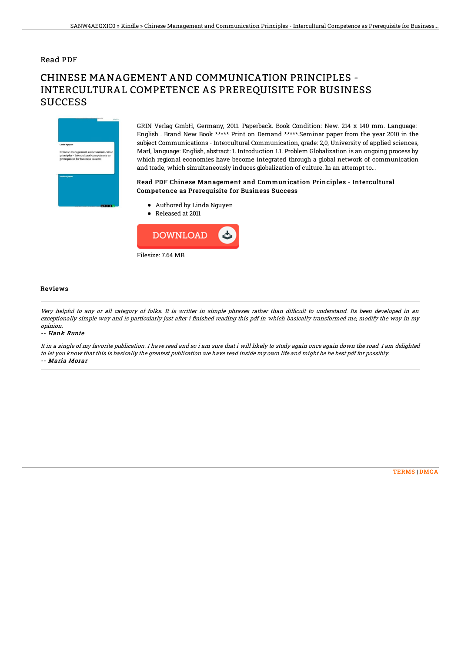## Read PDF

# CHINESE MANAGEMENT AND COMMUNICATION PRINCIPLES - INTERCULTURAL COMPETENCE AS PREREQUISITE FOR BUSINESS **SUCCESS**



GRIN Verlag GmbH, Germany, 2011. Paperback. Book Condition: New. 214 x 140 mm. Language: English . Brand New Book \*\*\*\*\* Print on Demand \*\*\*\*\*.Seminar paper from the year 2010 in the subject Communications - Intercultural Communication, grade: 2,0, University of applied sciences, Marl, language: English, abstract: 1. Introduction 1.1. Problem Globalization is an ongoing process by which regional economies have become integrated through a global network of communication and trade, which simultaneously induces globalization of culture. In an attempt to...

### Read PDF Chinese Management and Communication Principles - Intercultural Competence as Prerequisite for Business Success

- Authored by Linda Nguyen
- Released at 2011



#### Reviews

Very helpful to any or all category of folks. It is writter in simple phrases rather than difficult to understand. Its been developed in an exceptionally simple way and is particularly just after i finished reading this pdf in which basically transformed me, modify the way in my opinion.

#### -- Hank Runte

It in <sup>a</sup> single of my favorite publication. I have read and so i am sure that i will likely to study again once again down the road. I am delighted to let you know that this is basically the greatest publication we have read inside my own life and might be he best pdf for possibly. -- Maria Morar